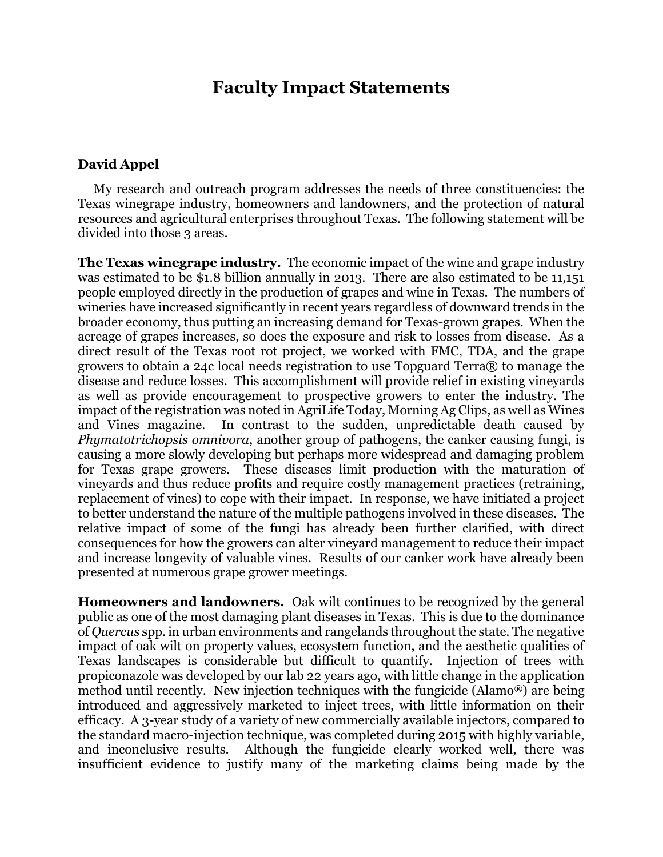# **Faculty Impact Statements**

#### **David Appel**

 My research and outreach program addresses the needs of three constituencies: the Texas winegrape industry, homeowners and landowners, and the protection of natural resources and agricultural enterprises throughout Texas. The following statement will be divided into those 3 areas.

**The Texas winegrape industry.** The economic impact of the wine and grape industry was estimated to be \$1.8 billion annually in 2013. There are also estimated to be 11,151 people employed directly in the production of grapes and wine in Texas. The numbers of wineries have increased significantly in recent years regardless of downward trends in the broader economy, thus putting an increasing demand for Texas-grown grapes. When the acreage of grapes increases, so does the exposure and risk to losses from disease. As a direct result of the Texas root rot project, we worked with FMC, TDA, and the grape growers to obtain a 24c local needs registration to use Topguard Terra® to manage the disease and reduce losses. This accomplishment will provide relief in existing vineyards as well as provide encouragement to prospective growers to enter the industry. The impact of the registration was noted in AgriLife Today, Morning Ag Clips, as well as Wines and Vines magazine. In contrast to the sudden, unpredictable death caused by *Phymatotrichopsis omnivora*, another group of pathogens, the canker causing fungi, is causing a more slowly developing but perhaps more widespread and damaging problem for Texas grape growers. These diseases limit production with the maturation of vineyards and thus reduce profits and require costly management practices (retraining, replacement of vines) to cope with their impact. In response, we have initiated a project to better understand the nature of the multiple pathogens involved in these diseases. The relative impact of some of the fungi has already been further clarified, with direct consequences for how the growers can alter vineyard management to reduce their impact and increase longevity of valuable vines. Results of our canker work have already been presented at numerous grape grower meetings.

**Homeowners and landowners.** Oak wilt continues to be recognized by the general public as one of the most damaging plant diseases in Texas. This is due to the dominance of *Quercus* spp. in urban environments and rangelands throughout the state. The negative impact of oak wilt on property values, ecosystem function, and the aesthetic qualities of Texas landscapes is considerable but difficult to quantify. Injection of trees with propiconazole was developed by our lab 22 years ago, with little change in the application method until recently. New injection techniques with the fungicide (Alamo®) are being introduced and aggressively marketed to inject trees, with little information on their efficacy. A 3-year study of a variety of new commercially available injectors, compared to the standard macro-injection technique, was completed during 2015 with highly variable, and inconclusive results. Although the fungicide clearly worked well, there was insufficient evidence to justify many of the marketing claims being made by the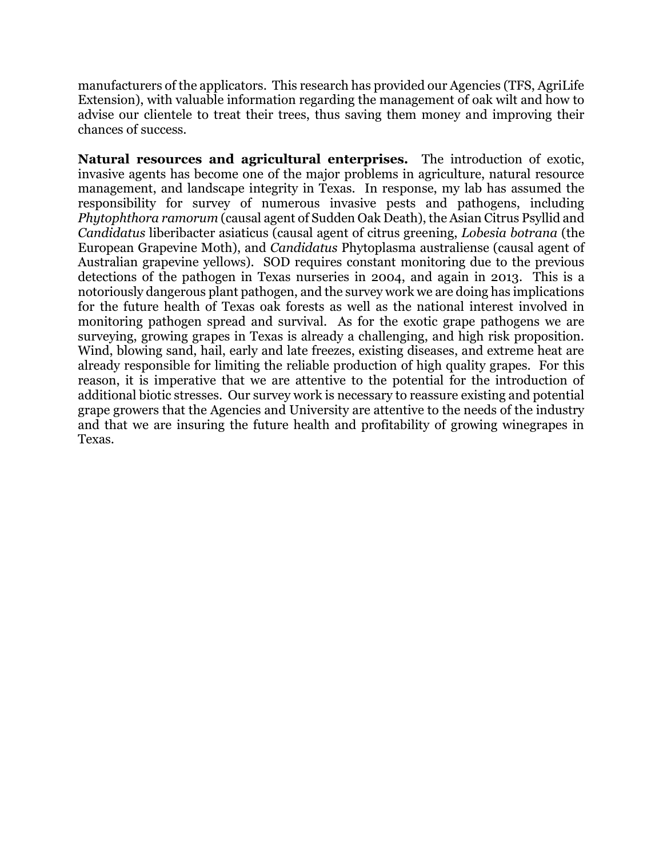manufacturers of the applicators. This research has provided our Agencies (TFS, AgriLife Extension), with valuable information regarding the management of oak wilt and how to advise our clientele to treat their trees, thus saving them money and improving their chances of success.

**Natural resources and agricultural enterprises.** The introduction of exotic, invasive agents has become one of the major problems in agriculture, natural resource management, and landscape integrity in Texas. In response, my lab has assumed the responsibility for survey of numerous invasive pests and pathogens, including *Phytophthora ramorum* (causal agent of Sudden Oak Death), the Asian Citrus Psyllid and *Candidatus* liberibacter asiaticus (causal agent of citrus greening, *Lobesia botrana* (the European Grapevine Moth), and *Candidatus* Phytoplasma australiense (causal agent of Australian grapevine yellows). SOD requires constant monitoring due to the previous detections of the pathogen in Texas nurseries in 2004, and again in 2013. This is a notoriously dangerous plant pathogen, and the survey work we are doing has implications for the future health of Texas oak forests as well as the national interest involved in monitoring pathogen spread and survival. As for the exotic grape pathogens we are surveying, growing grapes in Texas is already a challenging, and high risk proposition. Wind, blowing sand, hail, early and late freezes, existing diseases, and extreme heat are already responsible for limiting the reliable production of high quality grapes. For this reason, it is imperative that we are attentive to the potential for the introduction of additional biotic stresses. Our survey work is necessary to reassure existing and potential grape growers that the Agencies and University are attentive to the needs of the industry and that we are insuring the future health and profitability of growing winegrapes in Texas.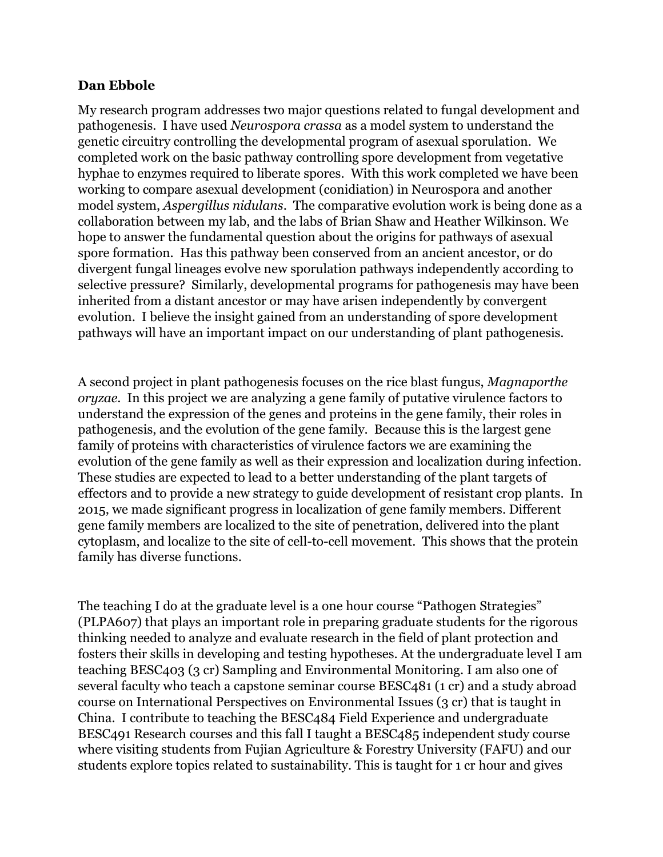### **Dan Ebbole**

My research program addresses two major questions related to fungal development and pathogenesis. I have used *Neurospora crassa* as a model system to understand the genetic circuitry controlling the developmental program of asexual sporulation. We completed work on the basic pathway controlling spore development from vegetative hyphae to enzymes required to liberate spores. With this work completed we have been working to compare asexual development (conidiation) in Neurospora and another model system, *Aspergillus nidulans*. The comparative evolution work is being done as a collaboration between my lab, and the labs of Brian Shaw and Heather Wilkinson. We hope to answer the fundamental question about the origins for pathways of asexual spore formation. Has this pathway been conserved from an ancient ancestor, or do divergent fungal lineages evolve new sporulation pathways independently according to selective pressure? Similarly, developmental programs for pathogenesis may have been inherited from a distant ancestor or may have arisen independently by convergent evolution. I believe the insight gained from an understanding of spore development pathways will have an important impact on our understanding of plant pathogenesis.

A second project in plant pathogenesis focuses on the rice blast fungus, *Magnaporthe oryzae*. In this project we are analyzing a gene family of putative virulence factors to understand the expression of the genes and proteins in the gene family, their roles in pathogenesis, and the evolution of the gene family. Because this is the largest gene family of proteins with characteristics of virulence factors we are examining the evolution of the gene family as well as their expression and localization during infection. These studies are expected to lead to a better understanding of the plant targets of effectors and to provide a new strategy to guide development of resistant crop plants. In 2015, we made significant progress in localization of gene family members. Different gene family members are localized to the site of penetration, delivered into the plant cytoplasm, and localize to the site of cell-to-cell movement. This shows that the protein family has diverse functions.

The teaching I do at the graduate level is a one hour course "Pathogen Strategies" (PLPA607) that plays an important role in preparing graduate students for the rigorous thinking needed to analyze and evaluate research in the field of plant protection and fosters their skills in developing and testing hypotheses. At the undergraduate level I am teaching BESC403 (3 cr) Sampling and Environmental Monitoring. I am also one of several faculty who teach a capstone seminar course BESC481 (1 cr) and a study abroad course on International Perspectives on Environmental Issues (3 cr) that is taught in China. I contribute to teaching the BESC484 Field Experience and undergraduate BESC491 Research courses and this fall I taught a BESC485 independent study course where visiting students from Fujian Agriculture & Forestry University (FAFU) and our students explore topics related to sustainability. This is taught for 1 cr hour and gives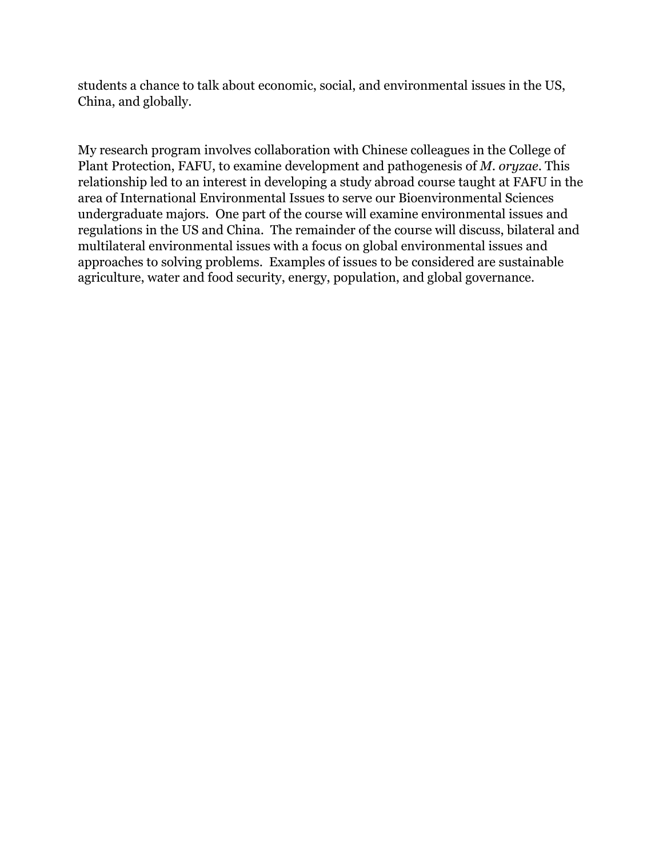students a chance to talk about economic, social, and environmental issues in the US, China, and globally.

My research program involves collaboration with Chinese colleagues in the College of Plant Protection, FAFU, to examine development and pathogenesis of *M. oryzae*. This relationship led to an interest in developing a study abroad course taught at FAFU in the area of International Environmental Issues to serve our Bioenvironmental Sciences undergraduate majors. One part of the course will examine environmental issues and regulations in the US and China. The remainder of the course will discuss, bilateral and multilateral environmental issues with a focus on global environmental issues and approaches to solving problems. Examples of issues to be considered are sustainable agriculture, water and food security, energy, population, and global governance.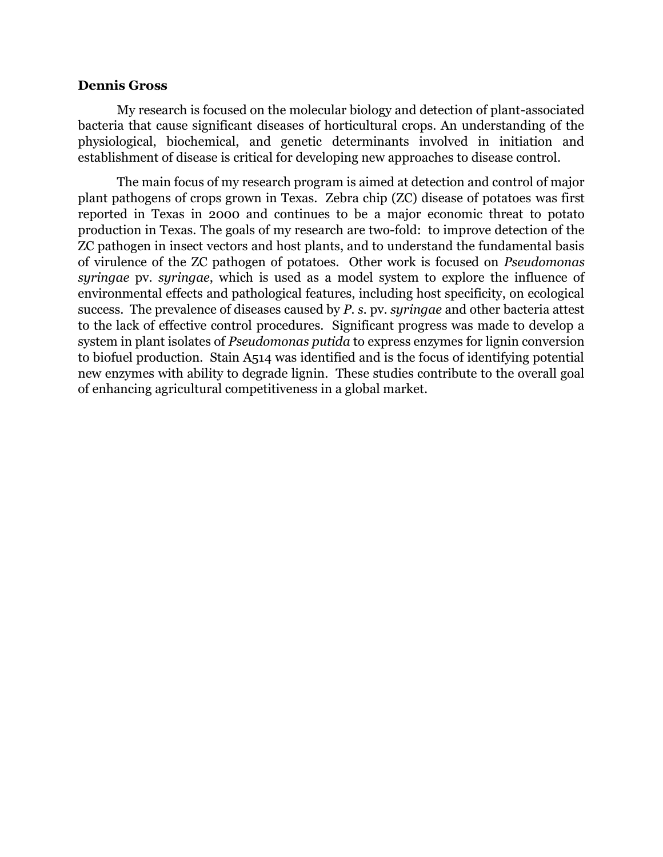#### **Dennis Gross**

My research is focused on the molecular biology and detection of plant-associated bacteria that cause significant diseases of horticultural crops. An understanding of the physiological, biochemical, and genetic determinants involved in initiation and establishment of disease is critical for developing new approaches to disease control.

The main focus of my research program is aimed at detection and control of major plant pathogens of crops grown in Texas. Zebra chip (ZC) disease of potatoes was first reported in Texas in 2000 and continues to be a major economic threat to potato production in Texas. The goals of my research are two-fold: to improve detection of the ZC pathogen in insect vectors and host plants, and to understand the fundamental basis of virulence of the ZC pathogen of potatoes. Other work is focused on *Pseudomonas syringae* pv. *syringae*, which is used as a model system to explore the influence of environmental effects and pathological features, including host specificity, on ecological success. The prevalence of diseases caused by *P. s.* pv. *syringae* and other bacteria attest to the lack of effective control procedures. Significant progress was made to develop a system in plant isolates of *Pseudomonas putida* to express enzymes for lignin conversion to biofuel production. Stain A514 was identified and is the focus of identifying potential new enzymes with ability to degrade lignin. These studies contribute to the overall goal of enhancing agricultural competitiveness in a global market.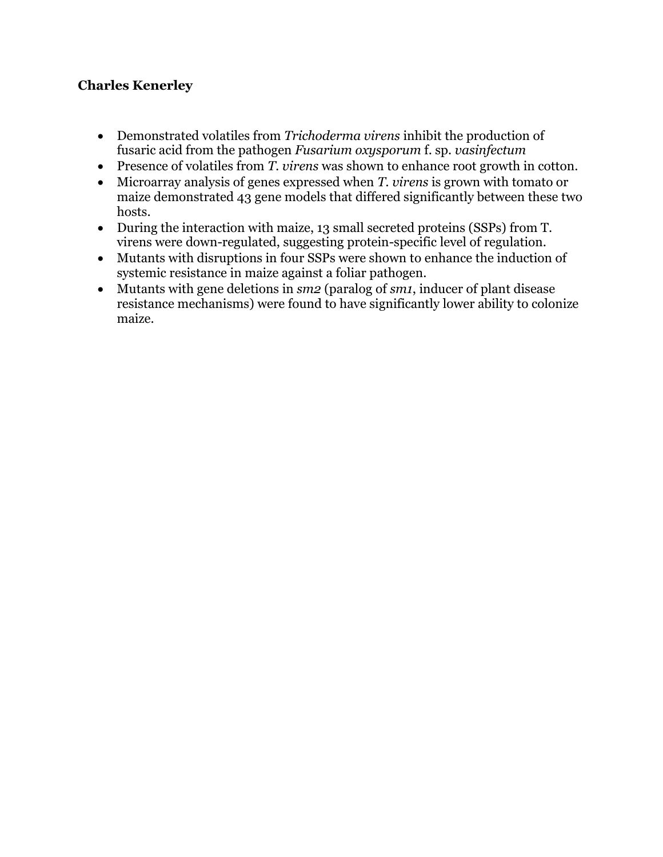# **Charles Kenerley**

- Demonstrated volatiles from *Trichoderma virens* inhibit the production of fusaric acid from the pathogen *Fusarium oxysporum* f. sp. *vasinfectum*
- Presence of volatiles from *T. virens* was shown to enhance root growth in cotton.
- Microarray analysis of genes expressed when *T. virens* is grown with tomato or maize demonstrated 43 gene models that differed significantly between these two hosts.
- During the interaction with maize, 13 small secreted proteins (SSPs) from T. virens were down-regulated, suggesting protein-specific level of regulation.
- Mutants with disruptions in four SSPs were shown to enhance the induction of systemic resistance in maize against a foliar pathogen.
- Mutants with gene deletions in *sm2* (paralog of *sm1*, inducer of plant disease resistance mechanisms) were found to have significantly lower ability to colonize maize.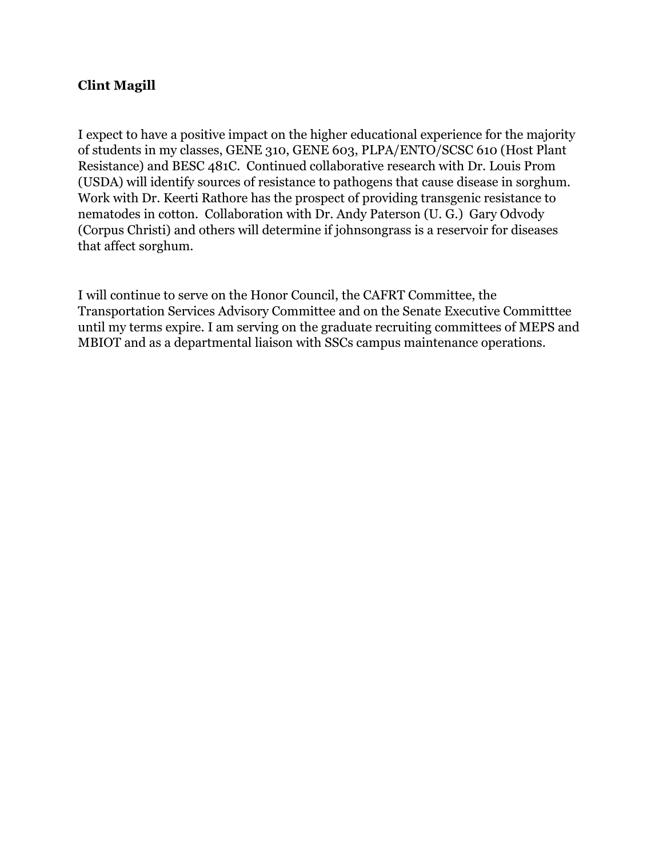# **Clint Magill**

I expect to have a positive impact on the higher educational experience for the majority of students in my classes, GENE 310, GENE 603, PLPA/ENTO/SCSC 610 (Host Plant Resistance) and BESC 481C. Continued collaborative research with Dr. Louis Prom (USDA) will identify sources of resistance to pathogens that cause disease in sorghum. Work with Dr. Keerti Rathore has the prospect of providing transgenic resistance to nematodes in cotton. Collaboration with Dr. Andy Paterson (U. G.) Gary Odvody (Corpus Christi) and others will determine if johnsongrass is a reservoir for diseases that affect sorghum.

I will continue to serve on the Honor Council, the CAFRT Committee, the Transportation Services Advisory Committee and on the Senate Executive Committtee until my terms expire. I am serving on the graduate recruiting committees of MEPS and MBIOT and as a departmental liaison with SSCs campus maintenance operations.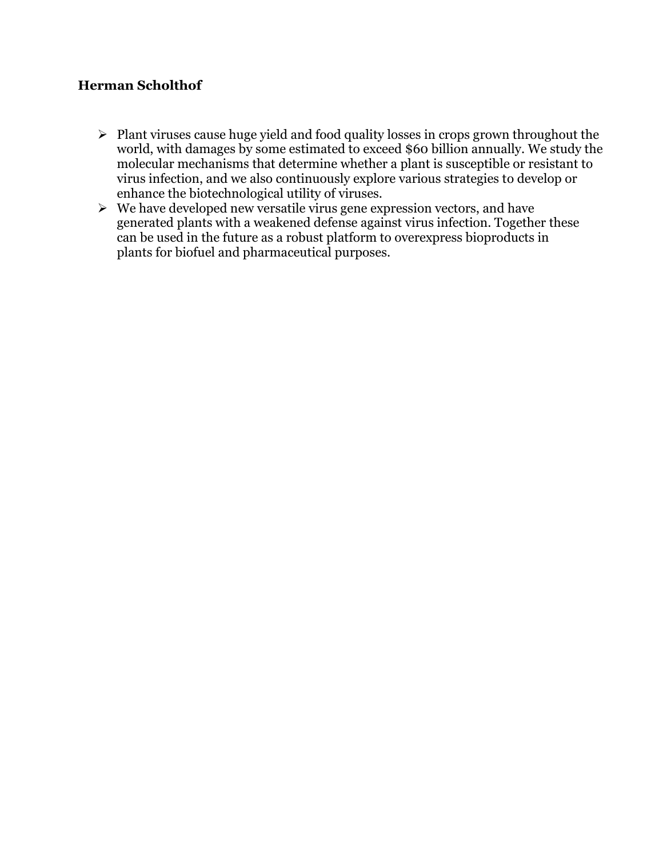# **Herman Scholthof**

- $\triangleright$  Plant viruses cause huge yield and food quality losses in crops grown throughout the world, with damages by some estimated to exceed \$60 billion annually. We study the molecular mechanisms that determine whether a plant is susceptible or resistant to virus infection, and we also continuously explore various strategies to develop or enhance the biotechnological utility of viruses.
- $\triangleright$  We have developed new versatile virus gene expression vectors, and have generated plants with a weakened defense against virus infection. Together these can be used in the future as a robust platform to overexpress bioproducts in plants for biofuel and pharmaceutical purposes.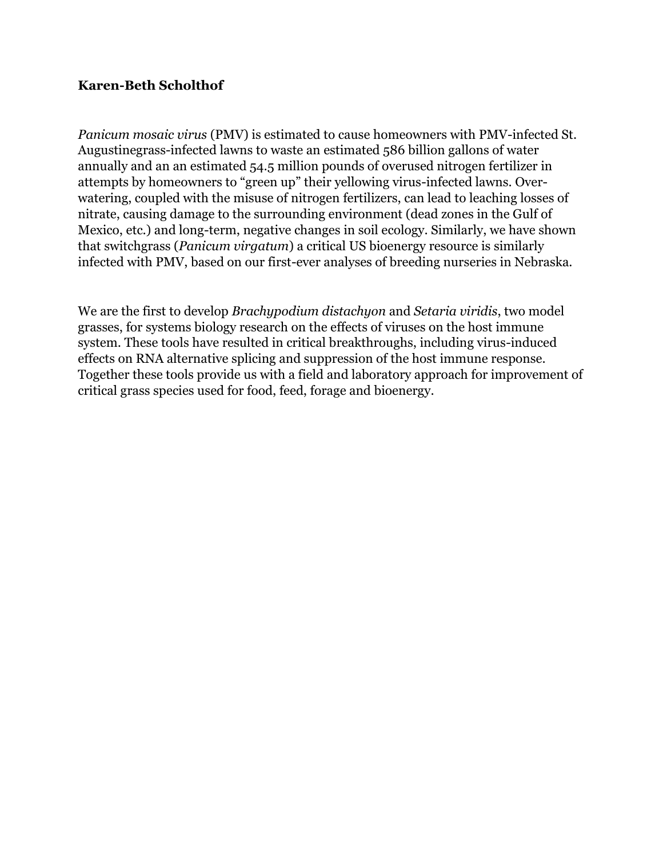### **Karen-Beth Scholthof**

*Panicum mosaic virus* (PMV) is estimated to cause homeowners with PMV-infected St. Augustinegrass-infected lawns to waste an estimated 586 billion gallons of water annually and an an estimated 54.5 million pounds of overused nitrogen fertilizer in attempts by homeowners to "green up" their yellowing virus-infected lawns. Overwatering, coupled with the misuse of nitrogen fertilizers, can lead to leaching losses of nitrate, causing damage to the surrounding environment (dead zones in the Gulf of Mexico, etc.) and long-term, negative changes in soil ecology. Similarly, we have shown that switchgrass (*Panicum virgatum*) a critical US bioenergy resource is similarly infected with PMV, based on our first-ever analyses of breeding nurseries in Nebraska.

We are the first to develop *Brachypodium distachyon* and *Setaria viridis*, two model grasses, for systems biology research on the effects of viruses on the host immune system. These tools have resulted in critical breakthroughs, including virus-induced effects on RNA alternative splicing and suppression of the host immune response. Together these tools provide us with a field and laboratory approach for improvement of critical grass species used for food, feed, forage and bioenergy.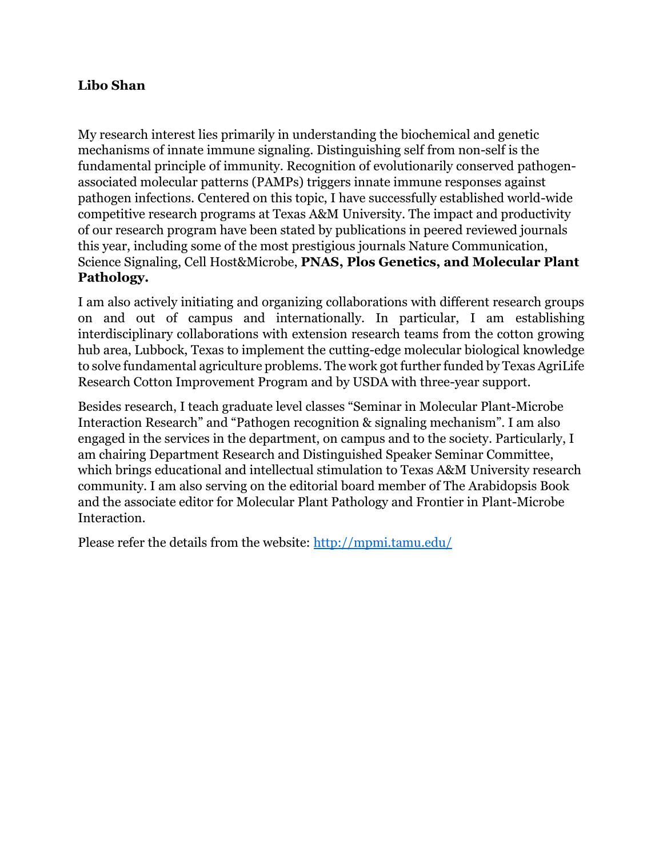## **Libo Shan**

My research interest lies primarily in understanding the biochemical and genetic mechanisms of innate immune signaling. Distinguishing self from non-self is the fundamental principle of immunity. Recognition of evolutionarily conserved pathogenassociated molecular patterns (PAMPs) triggers innate immune responses against pathogen infections. Centered on this topic, I have successfully established world-wide competitive research programs at Texas A&M University. The impact and productivity of our research program have been stated by publications in peered reviewed journals this year, including some of the most prestigious journals Nature Communication, Science Signaling, Cell Host&Microbe, **PNAS, Plos Genetics, and Molecular Plant Pathology.** 

I am also actively initiating and organizing collaborations with different research groups on and out of campus and internationally. In particular, I am establishing interdisciplinary collaborations with extension research teams from the cotton growing hub area, Lubbock, Texas to implement the cutting-edge molecular biological knowledge to solve fundamental agriculture problems. The work got further funded by Texas AgriLife Research Cotton Improvement Program and by USDA with three-year support.

Besides research, I teach graduate level classes "Seminar in Molecular Plant-Microbe Interaction Research" and "Pathogen recognition & signaling mechanism". I am also engaged in the services in the department, on campus and to the society. Particularly, I am chairing Department Research and Distinguished Speaker Seminar Committee, which brings educational and intellectual stimulation to Texas A&M University research community. I am also serving on the editorial board member of The Arabidopsis Book and the associate editor for Molecular Plant Pathology and Frontier in Plant-Microbe Interaction.

Please refer the details from the website:<http://mpmi.tamu.edu/>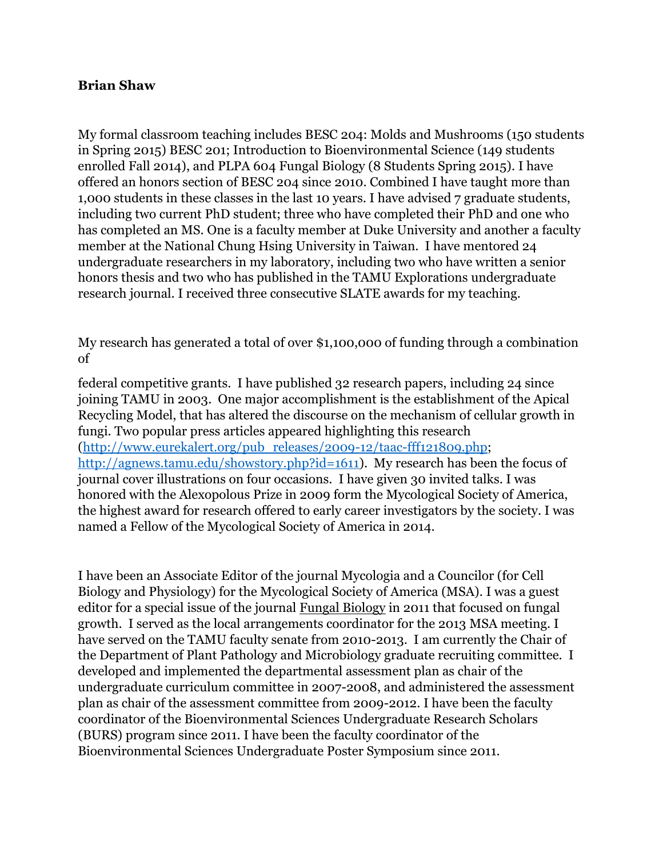### **Brian Shaw**

My formal classroom teaching includes BESC 204: Molds and Mushrooms (150 students in Spring 2015) BESC 201; Introduction to Bioenvironmental Science (149 students enrolled Fall 2014), and PLPA 604 Fungal Biology (8 Students Spring 2015). I have offered an honors section of BESC 204 since 2010. Combined I have taught more than 1,000 students in these classes in the last 10 years. I have advised 7 graduate students, including two current PhD student; three who have completed their PhD and one who has completed an MS. One is a faculty member at Duke University and another a faculty member at the National Chung Hsing University in Taiwan. I have mentored 24 undergraduate researchers in my laboratory, including two who have written a senior honors thesis and two who has published in the TAMU Explorations undergraduate research journal. I received three consecutive SLATE awards for my teaching.

My research has generated a total of over \$1,100,000 of funding through a combination of

federal competitive grants. I have published 32 research papers, including 24 since joining TAMU in 2003. One major accomplishment is the establishment of the Apical Recycling Model, that has altered the discourse on the mechanism of cellular growth in fungi. Two popular press articles appeared highlighting this research [\(http://www.eurekalert.org/pub\\_releases/2009-12/taac-fff121809.php;](http://www.eurekalert.org/pub_releases/2009-12/taac-fff121809.php) [http://agnews.tamu.edu/showstory.php?id=1611\)](http://agnews.tamu.edu/showstory.php?id=1611). My research has been the focus of journal cover illustrations on four occasions. I have given 30 invited talks. I was honored with the Alexopolous Prize in 2009 form the Mycological Society of America, the highest award for research offered to early career investigators by the society. I was named a Fellow of the Mycological Society of America in 2014.

I have been an Associate Editor of the journal Mycologia and a Councilor (for Cell Biology and Physiology) for the Mycological Society of America (MSA). I was a guest editor for a special issue of the journal Fungal Biology in 2011 that focused on fungal growth. I served as the local arrangements coordinator for the 2013 MSA meeting. I have served on the TAMU faculty senate from 2010-2013. I am currently the Chair of the Department of Plant Pathology and Microbiology graduate recruiting committee. I developed and implemented the departmental assessment plan as chair of the undergraduate curriculum committee in 2007-2008, and administered the assessment plan as chair of the assessment committee from 2009-2012. I have been the faculty coordinator of the Bioenvironmental Sciences Undergraduate Research Scholars (BURS) program since 2011. I have been the faculty coordinator of the Bioenvironmental Sciences Undergraduate Poster Symposium since 2011.